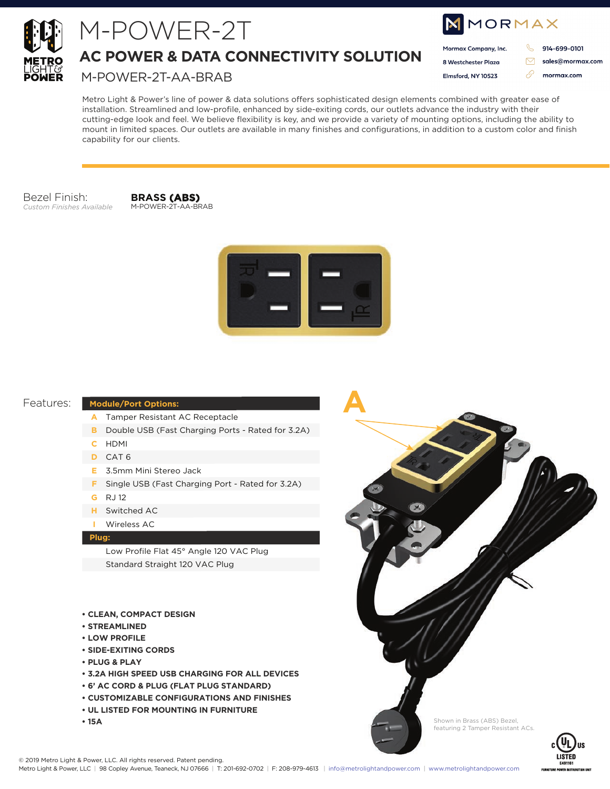

# M-POWER-2T

**AC POWER & DATA CONNECTIVITY SOLUTION**

M-POWER-2T-AA-BRAB

| MMORMAX |                      |  |                  |
|---------|----------------------|--|------------------|
|         | Mormax Company, Inc. |  | 914-699-0101     |
|         | 8 Westchester Plaza  |  | sales@mormax.com |
|         | Elmsford, NY 10523   |  | mormax.com       |
|         |                      |  |                  |

Metro Light & Power's line of power & data solutions offers sophisticated design elements combined with greater ease of installation. Streamlined and low-profile, enhanced by side-exiting cords, our outlets advance the industry with their cutting-edge look and feel. We believe flexibility is key, and we provide a variety of mounting options, including the ability to mount in limited spaces. Our outlets are available in many finishes and configurations, in addition to a custom color and finish capability for our clients.

Bezel Finish: *Custom Finishes Available*

**BRASS (ABS)** M-POWER-2T-AA-BRAB



**A**

#### Features:

#### **Module/Port Options:**

- Tamper Resistant AC Receptacle **A**
- **B** Double USB (Fast Charging Ports Rated for 3.2A)
- HDMI **C**
- CAT 6 **D**
- 3.5mm Mini Stereo Jack **E**
- **F** Single USB (Fast Charging Port Rated for 3.2A)
- RJ 12 **G**
- Switched AC **H**
- Wireless AC **I**

#### **Plug:**

Low Profile Flat 45° Angle 120 VAC Plug Standard Straight 120 VAC Plug

- **CLEAN, COMPACT DESIGN**
- **STREAMLINED**
- **LOW PROFILE**
- **SIDE-EXITING CORDS**
- **PLUG & PLAY**
- **3.2A HIGH SPEED USB CHARGING FOR ALL DEVICES**
- **6' AC CORD & PLUG (FLAT PLUG STANDARD)**
- **CUSTOMIZABLE CONFIGURATIONS AND FINISHES**
- **UL LISTED FOR MOUNTING IN FURNITURE**
- **15A**